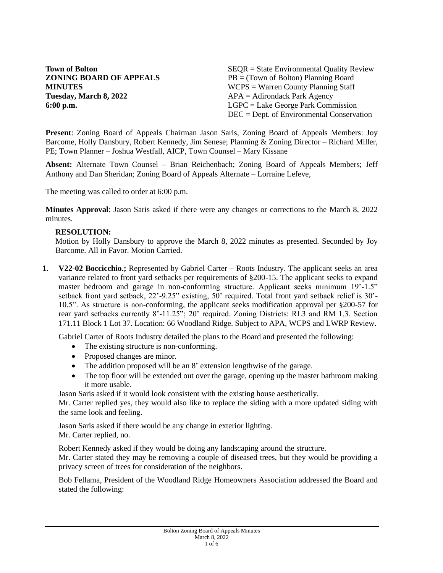**Tuesday, March 8, 2022** APA = Adirondack Park Agency

**Town of Bolton** SEQR = State Environmental Quality Review **ZONING BOARD OF APPEALS** PB = (Town of Bolton) Planning Board **MINUTES** WCPS = Warren County Planning Staff **6:00 p.m.** LGPC = Lake George Park Commission DEC = Dept. of Environmental Conservation

**Present**: Zoning Board of Appeals Chairman Jason Saris, Zoning Board of Appeals Members: Joy Barcome, Holly Dansbury, Robert Kennedy, Jim Senese; Planning & Zoning Director – Richard Miller, PE; Town Planner – Joshua Westfall, AICP, Town Counsel – Mary Kissane

**Absent:** Alternate Town Counsel – Brian Reichenbach; Zoning Board of Appeals Members; Jeff Anthony and Dan Sheridan; Zoning Board of Appeals Alternate – Lorraine Lefeve,

The meeting was called to order at 6:00 p.m.

**Minutes Approval**: Jason Saris asked if there were any changes or corrections to the March 8, 2022 minutes.

#### **RESOLUTION:**

Motion by Holly Dansbury to approve the March 8, 2022 minutes as presented. Seconded by Joy Barcome. All in Favor. Motion Carried.

**1. V22-02 Boccicchio.;** Represented by Gabriel Carter – Roots Industry. The applicant seeks an area variance related to front yard setbacks per requirements of §200-15. The applicant seeks to expand master bedroom and garage in non-conforming structure. Applicant seeks minimum 19'-1.5" setback front yard setback, 22'-9.25" existing, 50' required. Total front yard setback relief is 30'- 10.5". As structure is non-conforming, the applicant seeks modification approval per §200-57 for rear yard setbacks currently 8'-11.25"; 20' required. Zoning Districts: RL3 and RM 1.3. Section 171.11 Block 1 Lot 37. Location: 66 Woodland Ridge. Subject to APA, WCPS and LWRP Review.

Gabriel Carter of Roots Industry detailed the plans to the Board and presented the following:

- The existing structure is non-conforming.
- Proposed changes are minor.
- The addition proposed will be an 8' extension lengthwise of the garage.
- The top floor will be extended out over the garage, opening up the master bathroom making it more usable.

Jason Saris asked if it would look consistent with the existing house aesthetically.

Mr. Carter replied yes, they would also like to replace the siding with a more updated siding with the same look and feeling.

Jason Saris asked if there would be any change in exterior lighting.

Mr. Carter replied, no.

Robert Kennedy asked if they would be doing any landscaping around the structure.

Mr. Carter stated they may be removing a couple of diseased trees, but they would be providing a privacy screen of trees for consideration of the neighbors.

Bob Fellama, President of the Woodland Ridge Homeowners Association addressed the Board and stated the following: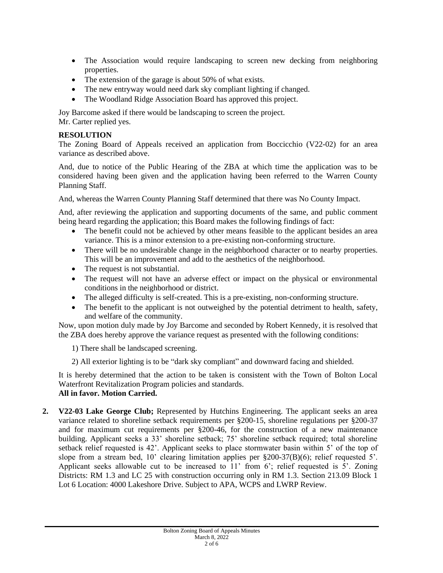- The Association would require landscaping to screen new decking from neighboring properties.
- The extension of the garage is about 50% of what exists.
- The new entryway would need dark sky compliant lighting if changed.
- The Woodland Ridge Association Board has approved this project.

Joy Barcome asked if there would be landscaping to screen the project. Mr. Carter replied yes.

# **RESOLUTION**

The Zoning Board of Appeals received an application from Boccicchio (V22-02) for an area variance as described above.

And, due to notice of the Public Hearing of the ZBA at which time the application was to be considered having been given and the application having been referred to the Warren County Planning Staff.

And, whereas the Warren County Planning Staff determined that there was No County Impact.

And, after reviewing the application and supporting documents of the same, and public comment being heard regarding the application; this Board makes the following findings of fact:

- The benefit could not be achieved by other means feasible to the applicant besides an area variance. This is a minor extension to a pre-existing non-conforming structure.
- There will be no undesirable change in the neighborhood character or to nearby properties. This will be an improvement and add to the aesthetics of the neighborhood.
- The request is not substantial.
- The request will not have an adverse effect or impact on the physical or environmental conditions in the neighborhood or district.
- The alleged difficulty is self-created. This is a pre-existing, non-conforming structure.
- The benefit to the applicant is not outweighed by the potential detriment to health, safety, and welfare of the community.

Now, upon motion duly made by Joy Barcome and seconded by Robert Kennedy, it is resolved that the ZBA does hereby approve the variance request as presented with the following conditions:

1) There shall be landscaped screening.

2) All exterior lighting is to be "dark sky compliant" and downward facing and shielded.

It is hereby determined that the action to be taken is consistent with the Town of Bolton Local Waterfront Revitalization Program policies and standards. **All in favor. Motion Carried.**

**2. V22-03 Lake George Club;** Represented by Hutchins Engineering. The applicant seeks an area variance related to shoreline setback requirements per §200-15, shoreline regulations per §200-37 and for maximum cut requirements per §200-46, for the construction of a new maintenance building. Applicant seeks a 33' shoreline setback; 75' shoreline setback required; total shoreline setback relief requested is 42'. Applicant seeks to place stormwater basin within 5' of the top of slope from a stream bed, 10' clearing limitation applies per §200-37(B)(6); relief requested 5'. Applicant seeks allowable cut to be increased to 11' from 6'; relief requested is 5'. Zoning Districts: RM 1.3 and LC 25 with construction occurring only in RM 1.3. Section 213.09 Block 1 Lot 6 Location: 4000 Lakeshore Drive. Subject to APA, WCPS and LWRP Review.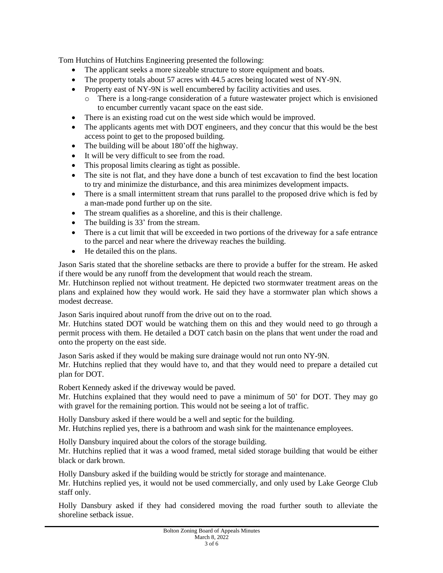Tom Hutchins of Hutchins Engineering presented the following:

- The applicant seeks a more sizeable structure to store equipment and boats.
- The property totals about 57 acres with 44.5 acres being located west of NY-9N.
- Property east of NY-9N is well encumbered by facility activities and uses.
	- o There is a long-range consideration of a future wastewater project which is envisioned to encumber currently vacant space on the east side.
- There is an existing road cut on the west side which would be improved.
- The applicants agents met with DOT engineers, and they concur that this would be the best access point to get to the proposed building.
- The building will be about 180' off the highway.
- It will be very difficult to see from the road.
- This proposal limits clearing as tight as possible.
- The site is not flat, and they have done a bunch of test excavation to find the best location to try and minimize the disturbance, and this area minimizes development impacts.
- There is a small intermittent stream that runs parallel to the proposed drive which is fed by a man-made pond further up on the site.
- The stream qualifies as a shoreline, and this is their challenge.
- The building is 33' from the stream.
- There is a cut limit that will be exceeded in two portions of the driveway for a safe entrance to the parcel and near where the driveway reaches the building.
- He detailed this on the plans.

Jason Saris stated that the shoreline setbacks are there to provide a buffer for the stream. He asked if there would be any runoff from the development that would reach the stream.

Mr. Hutchinson replied not without treatment. He depicted two stormwater treatment areas on the plans and explained how they would work. He said they have a stormwater plan which shows a modest decrease.

Jason Saris inquired about runoff from the drive out on to the road.

Mr. Hutchins stated DOT would be watching them on this and they would need to go through a permit process with them. He detailed a DOT catch basin on the plans that went under the road and onto the property on the east side.

Jason Saris asked if they would be making sure drainage would not run onto NY-9N.

Mr. Hutchins replied that they would have to, and that they would need to prepare a detailed cut plan for DOT.

Robert Kennedy asked if the driveway would be paved.

Mr. Hutchins explained that they would need to pave a minimum of 50' for DOT. They may go with gravel for the remaining portion. This would not be seeing a lot of traffic.

Holly Dansbury asked if there would be a well and septic for the building. Mr. Hutchins replied yes, there is a bathroom and wash sink for the maintenance employees.

Holly Dansbury inquired about the colors of the storage building. Mr. Hutchins replied that it was a wood framed, metal sided storage building that would be either

black or dark brown.

Holly Dansbury asked if the building would be strictly for storage and maintenance. Mr. Hutchins replied yes, it would not be used commercially, and only used by Lake George Club staff only.

Holly Dansbury asked if they had considered moving the road further south to alleviate the shoreline setback issue.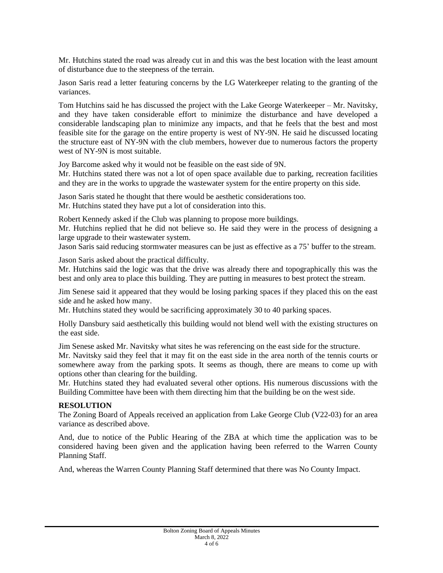Mr. Hutchins stated the road was already cut in and this was the best location with the least amount of disturbance due to the steepness of the terrain.

Jason Saris read a letter featuring concerns by the LG Waterkeeper relating to the granting of the variances.

Tom Hutchins said he has discussed the project with the Lake George Waterkeeper – Mr. Navitsky, and they have taken considerable effort to minimize the disturbance and have developed a considerable landscaping plan to minimize any impacts, and that he feels that the best and most feasible site for the garage on the entire property is west of NY-9N. He said he discussed locating the structure east of NY-9N with the club members, however due to numerous factors the property west of NY-9N is most suitable.

Joy Barcome asked why it would not be feasible on the east side of 9N.

Mr. Hutchins stated there was not a lot of open space available due to parking, recreation facilities and they are in the works to upgrade the wastewater system for the entire property on this side.

Jason Saris stated he thought that there would be aesthetic considerations too. Mr. Hutchins stated they have put a lot of consideration into this.

Robert Kennedy asked if the Club was planning to propose more buildings.

Mr. Hutchins replied that he did not believe so. He said they were in the process of designing a large upgrade to their wastewater system.

Jason Saris said reducing stormwater measures can be just as effective as a 75' buffer to the stream.

Jason Saris asked about the practical difficulty.

Mr. Hutchins said the logic was that the drive was already there and topographically this was the best and only area to place this building. They are putting in measures to best protect the stream.

Jim Senese said it appeared that they would be losing parking spaces if they placed this on the east side and he asked how many.

Mr. Hutchins stated they would be sacrificing approximately 30 to 40 parking spaces.

Holly Dansbury said aesthetically this building would not blend well with the existing structures on the east side.

Jim Senese asked Mr. Navitsky what sites he was referencing on the east side for the structure.

Mr. Navitsky said they feel that it may fit on the east side in the area north of the tennis courts or somewhere away from the parking spots. It seems as though, there are means to come up with options other than clearing for the building.

Mr. Hutchins stated they had evaluated several other options. His numerous discussions with the Building Committee have been with them directing him that the building be on the west side.

### **RESOLUTION**

The Zoning Board of Appeals received an application from Lake George Club (V22-03) for an area variance as described above.

And, due to notice of the Public Hearing of the ZBA at which time the application was to be considered having been given and the application having been referred to the Warren County Planning Staff.

And, whereas the Warren County Planning Staff determined that there was No County Impact.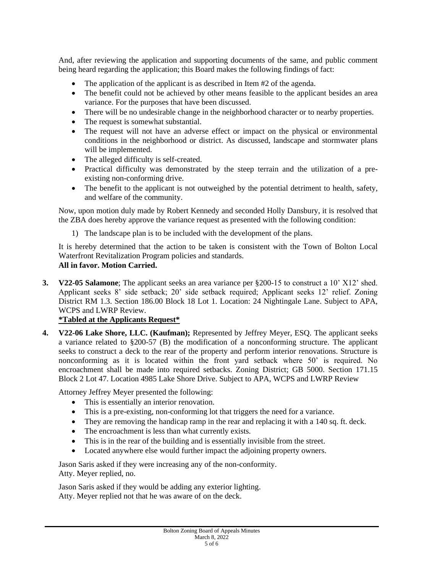And, after reviewing the application and supporting documents of the same, and public comment being heard regarding the application; this Board makes the following findings of fact:

- The application of the applicant is as described in Item #2 of the agenda.
- The benefit could not be achieved by other means feasible to the applicant besides an area variance. For the purposes that have been discussed.
- There will be no undesirable change in the neighborhood character or to nearby properties.
- The request is somewhat substantial.
- The request will not have an adverse effect or impact on the physical or environmental conditions in the neighborhood or district. As discussed, landscape and stormwater plans will be implemented.
- The alleged difficulty is self-created.
- Practical difficulty was demonstrated by the steep terrain and the utilization of a preexisting non-conforming drive.
- The benefit to the applicant is not outweighed by the potential detriment to health, safety, and welfare of the community.

Now, upon motion duly made by Robert Kennedy and seconded Holly Dansbury, it is resolved that the ZBA does hereby approve the variance request as presented with the following condition:

1) The landscape plan is to be included with the development of the plans.

It is hereby determined that the action to be taken is consistent with the Town of Bolton Local Waterfront Revitalization Program policies and standards. **All in favor. Motion Carried.**

**3. V22-05 Salamone**; The applicant seeks an area variance per §200-15 to construct a 10' X12' shed. Applicant seeks 8' side setback; 20' side setback required; Applicant seeks 12' relief. Zoning District RM 1.3. Section 186.00 Block 18 Lot 1. Location: 24 Nightingale Lane. Subject to APA, WCPS and LWRP Review.

### **\*Tabled at the Applicants Request\***

**4. V22-06 Lake Shore, LLC. (Kaufman);** Represented by Jeffrey Meyer, ESQ. The applicant seeks a variance related to §200-57 (B) the modification of a nonconforming structure. The applicant seeks to construct a deck to the rear of the property and perform interior renovations. Structure is nonconforming as it is located within the front yard setback where 50' is required. No encroachment shall be made into required setbacks. Zoning District; GB 5000. Section 171.15 Block 2 Lot 47. Location 4985 Lake Shore Drive. Subject to APA, WCPS and LWRP Review

Attorney Jeffrey Meyer presented the following:

- This is essentially an interior renovation.
- This is a pre-existing, non-conforming lot that triggers the need for a variance.
- They are removing the handicap ramp in the rear and replacing it with a 140 sq. ft. deck.
- The encroachment is less than what currently exists.
- This is in the rear of the building and is essentially invisible from the street.
- Located anywhere else would further impact the adjoining property owners.

Jason Saris asked if they were increasing any of the non-conformity. Atty. Meyer replied, no.

Jason Saris asked if they would be adding any exterior lighting. Atty. Meyer replied not that he was aware of on the deck.